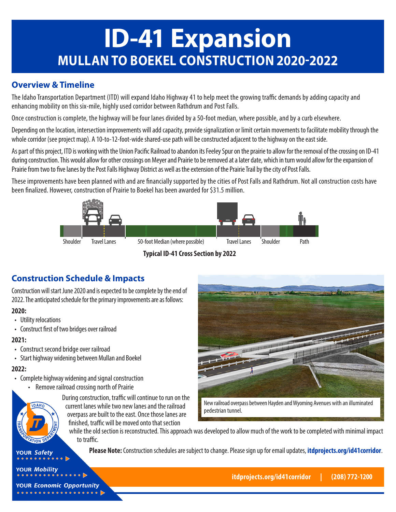# **ID-41 Expansion MULLAN TO BOEKEL CONSTRUCTION 2020-2022**

### **Overview & Timeline**

The Idaho Transportation Department (ITD) will expand Idaho Highway 41 to help meet the growing traffic demands by adding capacity and enhancing mobility on this six-mile, highly used corridor between Rathdrum and Post Falls.

Once construction is complete, the highway will be four lanes divided by a 50-foot median, where possible, and by a curb elsewhere.

Depending on the location, intersection improvements will add capacity, provide signalization or limit certain movements to facilitate mobility through the whole corridor (see project map). A 10-to-12-foot-wide shared-use path will be constructed adjacent to the highway on the east side.

As part of this project, ITD is working with the Union Pacific Railroad to abandon its Feeley Spur on the prairie to allow for the removal of the crossing on ID-41 during construction. This would allow for other crossings on Meyer and Prairie to be removed at a later date, which in turn would allow for the expansion of Prairie from two to five lanes by the Post Falls Highway District as well as the extension of the Prairie Trail by the city of Post Falls.

These improvements have been planned with and are financially supported by the cities of Post Falls and Rathdrum. Not all construction costs have been finalized. However, construction of Prairie to Boekel has been awarded for \$31.5 million.



**Typical ID-41 Cross Section by 2022**

## **Construction Schedule & Impacts**

Construction will start June 2020 and is expected to be complete by the end of 2022. The anticipated schedule for the primary improvements are as follows:

#### **2020:**

- Utility relocations
- Construct first of two bridges over railroad

#### **2021:**

- Construct second bridge over railroad
- Start highway widening between Mullan and Boekel

#### **2022:**

- Complete highway widening and signal construction
	- Remove railroad crossing north of Prairie

During construction, traffic will continue to run on the current lanes while two new lanes and the railroad overpass are built to the east. Once those lanes are finished, traffic will be moved onto that section



New railroad overpass between Hayden and Wyoming Avenues with an illuminated pedestrian tunnel.

while the old section is reconstructed. This approach was developed to allow much of the work to be completed with minimal impact to traffic.

 **Please Note:** Construction schedules are subject to change. Please sign up for email updates, **itdprojects.org/id41corridor**.

**YOUR Safety** 

**YOUR Mobility** 

**itdprojects.org/id41corridor | (208) 772-1200**

**YOUR Economic Opportunity**